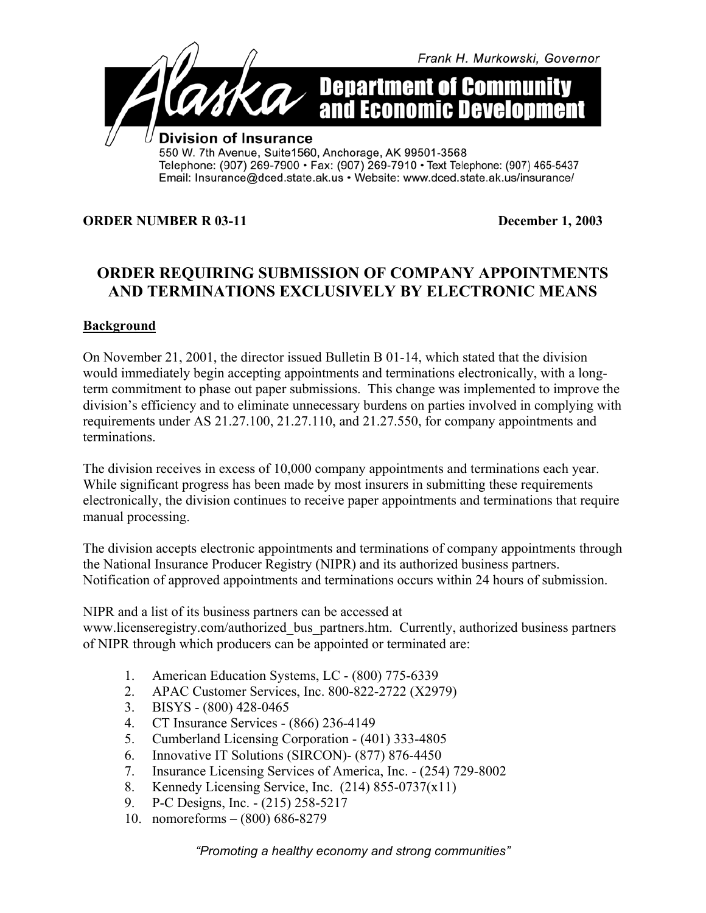

#### **ORDER NUMBER R 03-11** December 1, 2003

# **ORDER REQUIRING SUBMISSION OF COMPANY APPOINTMENTS AND TERMINATIONS EXCLUSIVELY BY ELECTRONIC MEANS**

#### **Background**

On November 21, 2001, the director issued Bulletin B 01-14, which stated that the division would immediately begin accepting appointments and terminations electronically, with a longterm commitment to phase out paper submissions. This change was implemented to improve the division's efficiency and to eliminate unnecessary burdens on parties involved in complying with requirements under AS 21.27.100, 21.27.110, and 21.27.550, for company appointments and terminations.

The division receives in excess of 10,000 company appointments and terminations each year. While significant progress has been made by most insurers in submitting these requirements electronically, the division continues to receive paper appointments and terminations that require manual processing.

The division accepts electronic appointments and terminations of company appointments through the National Insurance Producer Registry (NIPR) and its authorized business partners. Notification of approved appointments and terminations occurs within 24 hours of submission.

NIPR and a list of its business partners can be accessed at

www.licenseregistry.com/authorized\_bus\_partners.htm. Currently, authorized business partners of NIPR through which producers can be appointed or terminated are:

- 1. American Education Systems, LC (800) 775-6339
- 2. APAC Customer Services, Inc. 800-822-2722 (X2979)
- 3. BISYS (800) 428-0465
- 4. CT Insurance Services (866) 236-4149
- 5. Cumberland Licensing Corporation (401) 333-4805
- 6. Innovative IT Solutions (SIRCON)- (877) 876-4450
- 7. Insurance Licensing Services of America, Inc. (254) 729-8002
- 8. Kennedy Licensing Service, Inc. (214) 855-0737(x11)
- 9. P-C Designs, Inc. (215) 258-5217
- 10. nomoreforms (800) 686-8279

*"Promoting a healthy economy and strong communities"*